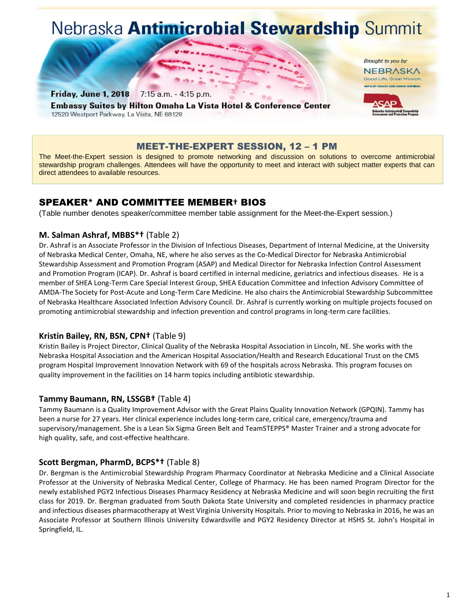# Nebraska Antimicrobial Stewardship Summit

Brought to you by: NEBRASKA Good Life, Great Mission

7:15 a.m. - 4:15 p.m. Friday, June 1, 2018 **Embassy Suites by Hilton Omaha La Vista Hotel & Conference Center** 12520 Westport Parkway, La Vista, NE 68128

# MEET-THE-EXPERT SESSION, 12 – 1 PM

The Meet-the-Expert session is designed to promote networking and discussion on solutions to overcome antimicrobial stewardship program challenges. Attendees will have the opportunity to meet and interact with subject matter experts that can direct attendees to available resources.

# SPEAKER\* AND COMMITTEE MEMBER**†** BIOS

(Table number denotes speaker/committee member table assignment for the Meet-the-Expert session.)

#### **M. Salman Ashraf, MBBS\*†** (Table 2)

Dr. Ashraf is an Associate Professor in the Division of Infectious Diseases, Department of Internal Medicine, at the University of Nebraska Medical Center, Omaha, NE, where he also serves as the Co-Medical Director for Nebraska Antimicrobial Stewardship Assessment and Promotion Program (ASAP) and Medical Director for Nebraska Infection Control Assessment and Promotion Program (ICAP). Dr. Ashraf is board certified in internal medicine, geriatrics and infectious diseases. He is a member of SHEA Long-Term Care Special Interest Group, SHEA Education Committee and Infection Advisory Committee of AMDA-The Society for Post-Acute and Long-Term Care Medicine. He also chairs the Antimicrobial Stewardship Subcommittee of Nebraska Healthcare Associated Infection Advisory Council. Dr. Ashraf is currently working on multiple projects focused on promoting antimicrobial stewardship and infection prevention and control programs in long-term care facilities.

#### **Kristin Bailey, RN, BSN, CPN†** (Table 9)

Kristin Bailey is Project Director, Clinical Quality of the Nebraska Hospital Association in Lincoln, NE. She works with the Nebraska Hospital Association and the American Hospital Association/Health and Research Educational Trust on the CMS program Hospital Improvement Innovation Network with 69 of the hospitals across Nebraska. This program focuses on quality improvement in the facilities on 14 harm topics including antibiotic stewardship.

#### **Tammy Baumann, RN, LSSGB†** (Table 4)

Tammy Baumann is a Quality Improvement Advisor with the Great Plains Quality Innovation Network (GPQIN). Tammy has been a nurse for 27 years. Her clinical experience includes long-term care, critical care, emergency/trauma and supervisory/management. She is a Lean Six Sigma Green Belt and TeamSTEPPS® Master Trainer and a strong advocate for high quality, safe, and cost-effective healthcare.

#### **Scott Bergman, PharmD, BCPS\*†** (Table 8)

Dr. Bergman is the Antimicrobial Stewardship Program Pharmacy Coordinator at Nebraska Medicine and a Clinical Associate Professor at the University of Nebraska Medical Center, College of Pharmacy. He has been named Program Director for the newly established PGY2 Infectious Diseases Pharmacy Residency at Nebraska Medicine and will soon begin recruiting the first class for 2019. Dr. Bergman graduated from South Dakota State University and completed residencies in pharmacy practice and infectious diseases pharmacotherapy at West Virginia University Hospitals. Prior to moving to Nebraska in 2016, he was an Associate Professor at Southern Illinois University Edwardsville and PGY2 Residency Director at HSHS St. John's Hospital in Springfield, IL.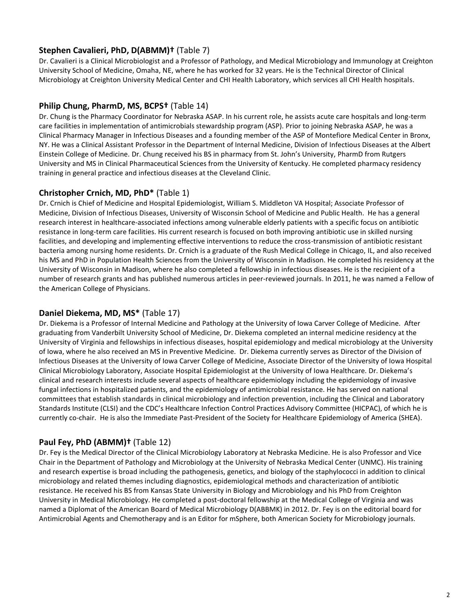#### **Stephen Cavalieri, PhD, D(ABMM)†** (Table 7)

Dr. Cavalieri is a Clinical Microbiologist and a Professor of Pathology, and Medical Microbiology and Immunology at Creighton University School of Medicine, Omaha, NE, where he has worked for 32 years. He is the Technical Director of Clinical Microbiology at Creighton University Medical Center and CHI Health Laboratory, which services all CHI Health hospitals.

#### **Philip Chung, PharmD, MS, BCPS†** (Table 14)

Dr. Chung is the Pharmacy Coordinator for Nebraska ASAP. In his current role, he assists acute care hospitals and long-term care facilities in implementation of antimicrobials stewardship program (ASP). Prior to joining Nebraska ASAP, he was a Clinical Pharmacy Manager in Infectious Diseases and a founding member of the ASP of Montefiore Medical Center in Bronx, NY. He was a Clinical Assistant Professor in the Department of Internal Medicine, Division of Infectious Diseases at the Albert Einstein College of Medicine. Dr. Chung received his BS in pharmacy from St. John's University, PharmD from Rutgers University and MS in Clinical Pharmaceutical Sciences from the University of Kentucky. He completed pharmacy residency training in general practice and infectious diseases at the Cleveland Clinic.

#### **Christopher Crnich, MD, PhD\*** (Table 1)

Dr. Crnich is Chief of Medicine and Hospital Epidemiologist, William S. Middleton VA Hospital; Associate Professor of Medicine, Division of Infectious Diseases, University of Wisconsin School of Medicine and Public Health. He has a general research interest in healthcare-associated infections among vulnerable elderly patients with a specific focus on antibiotic resistance in long-term care facilities. His current research is focused on both improving antibiotic use in skilled nursing facilities, and developing and implementing effective interventions to reduce the cross-transmission of antibiotic resistant bacteria among nursing home residents. Dr. Crnich is a graduate of the Rush Medical College in Chicago, IL, and also received his MS and PhD in Population Health Sciences from the University of Wisconsin in Madison. He completed his residency at the University of Wisconsin in Madison, where he also completed a fellowship in infectious diseases. He is the recipient of a number of research grants and has published numerous articles in peer-reviewed journals. In 2011, he was named a Fellow of the American College of Physicians.

#### **Daniel Diekema, MD, MS\*** (Table 17)

Dr. Diekema is a Professor of Internal Medicine and Pathology at the University of Iowa Carver College of Medicine. After graduating from Vanderbilt University School of Medicine, Dr. Diekema completed an internal medicine residency at the University of Virginia and fellowships in infectious diseases, hospital epidemiology and medical microbiology at the University of Iowa, where he also received an MS in Preventive Medicine. Dr. Diekema currently serves as Director of the Division of Infectious Diseases at the University of Iowa Carver College of Medicine, Associate Director of the University of Iowa Hospital Clinical Microbiology Laboratory, Associate Hospital Epidemiologist at the University of Iowa Healthcare. Dr. Diekema's clinical and research interests include several aspects of healthcare epidemiology including the epidemiology of invasive fungal infections in hospitalized patients, and the epidemiology of antimicrobial resistance. He has served on national committees that establish standards in clinical microbiology and infection prevention, including the Clinical and Laboratory Standards Institute (CLSI) and the CDC's Healthcare Infection Control Practices Advisory Committee (HICPAC), of which he is currently co-chair. He is also the Immediate Past-President of the Society for Healthcare Epidemiology of America (SHEA).

#### **Paul Fey, PhD (ABMM)†** (Table 12)

Dr. Fey is the Medical Director of the Clinical Microbiology Laboratory at Nebraska Medicine. He is also Professor and Vice Chair in the Department of Pathology and Microbiology at the University of Nebraska Medical Center (UNMC). His training and research expertise is broad including the pathogenesis, genetics, and biology of the staphylococci in addition to clinical microbiology and related themes including diagnostics, epidemiological methods and characterization of antibiotic resistance. He received his BS from Kansas State University in Biology and Microbiology and his PhD from Creighton University in Medical Microbiology. He completed a post-doctoral fellowship at the Medical College of Virginia and was named a Diplomat of the American Board of Medical Microbiology D(ABBMK) in 2012. Dr. Fey is on the editorial board for Antimicrobial Agents and Chemotherapy and is an Editor for mSphere, both American Society for Microbiology journals.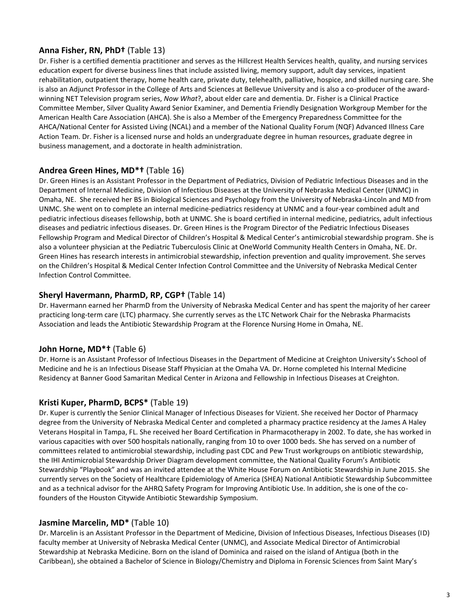# **Anna Fisher, RN, PhD†** (Table 13)

Dr. Fisher is a certified dementia practitioner and serves as the Hillcrest Health Services health, quality, and nursing services education expert for diverse business lines that include assisted living, memory support, adult day services, inpatient rehabilitation, outpatient therapy, home health care, private duty, telehealth, palliative, hospice, and skilled nursing care. She is also an Adjunct Professor in the College of Arts and Sciences at Bellevue University and is also a co-producer of the awardwinning NET Television program series, *Now What*?, about elder care and dementia. Dr. Fisher is a Clinical Practice Committee Member, Silver Quality Award Senior Examiner, and Dementia Friendly Designation Workgroup Member for the American Health Care Association (AHCA). She is also a Member of the Emergency Preparedness Committee for the AHCA/National Center for Assisted Living (NCAL) and a member of the National Quality Forum (NQF) Advanced Illness Care Action Team. Dr. Fisher is a licensed nurse and holds an undergraduate degree in human resources, graduate degree in business management, and a doctorate in health administration.

#### **Andrea Green Hines, MD\*†** (Table 16)

Dr. Green Hines is an Assistant Professor in the Department of Pediatrics, Division of Pediatric Infectious Diseases and in the Department of Internal Medicine, Division of Infectious Diseases at the University of Nebraska Medical Center (UNMC) in Omaha, NE. She received her BS in Biological Sciences and Psychology from the University of Nebraska-Lincoln and MD from UNMC. She went on to complete an internal medicine-pediatrics residency at UNMC and a four-year combined adult and pediatric infectious diseases fellowship, both at UNMC. She is board certified in internal medicine, pediatrics, adult infectious diseases and pediatric infectious diseases. Dr. Green Hines is the Program Director of the Pediatric Infectious Diseases Fellowship Program and Medical Director of Children's Hospital & Medical Center's antimicrobial stewardship program. She is also a volunteer physician at the Pediatric Tuberculosis Clinic at OneWorld Community Health Centers in Omaha, NE. Dr. Green Hines has research interests in antimicrobial stewardship, infection prevention and quality improvement. She serves on the Children's Hospital & Medical Center Infection Control Committee and the University of Nebraska Medical Center Infection Control Committee.

#### **Sheryl Havermann, PharmD, RP, CGP†** (Table 14)

Dr. Havermann earned her PharmD from the University of Nebraska Medical Center and has spent the majority of her career practicing long-term care (LTC) pharmacy. She currently serves as the LTC Network Chair for the Nebraska Pharmacists Association and leads the Antibiotic Stewardship Program at the Florence Nursing Home in Omaha, NE.

# **John Horne, MD\*†** (Table 6)

Dr. Horne is an Assistant Professor of Infectious Diseases in the Department of Medicine at Creighton University's School of Medicine and he is an Infectious Disease Staff Physician at the Omaha VA. Dr. Horne completed his Internal Medicine Residency at Banner Good Samaritan Medical Center in Arizona and Fellowship in Infectious Diseases at Creighton.

#### **Kristi Kuper, PharmD, BCPS\*** (Table 19)

Dr. Kuper is currently the Senior Clinical Manager of Infectious Diseases for Vizient. She received her Doctor of Pharmacy degree from the University of Nebraska Medical Center and completed a pharmacy practice residency at the James A Haley Veterans Hospital in Tampa, FL. She received her Board Certification in Pharmacotherapy in 2002. To date, she has worked in various capacities with over 500 hospitals nationally, ranging from 10 to over 1000 beds. She has served on a number of committees related to antimicrobial stewardship, including past CDC and Pew Trust workgroups on antibiotic stewardship, the IHI Antimicrobial Stewardship Driver Diagram development committee, the National Quality Forum's Antibiotic Stewardship "Playbook" and was an invited attendee at the White House Forum on Antibiotic Stewardship in June 2015. She currently serves on the Society of Healthcare Epidemiology of America (SHEA) National Antibiotic Stewardship Subcommittee and as a technical advisor for the AHRQ Safety Program for Improving Antibiotic Use. In addition, she is one of the cofounders of the Houston Citywide Antibiotic Stewardship Symposium.

#### **Jasmine Marcelin, MD\*** (Table 10)

Dr. Marcelin is an Assistant Professor in the Department of Medicine, Division of Infectious Diseases, Infectious Diseases (ID) faculty member at University of Nebraska Medical Center (UNMC), and Associate Medical Director of Antimicrobial Stewardship at Nebraska Medicine. Born on the island of Dominica and raised on the island of Antigua (both in the Caribbean), she obtained a Bachelor of Science in Biology/Chemistry and Diploma in Forensic Sciences from Saint Mary's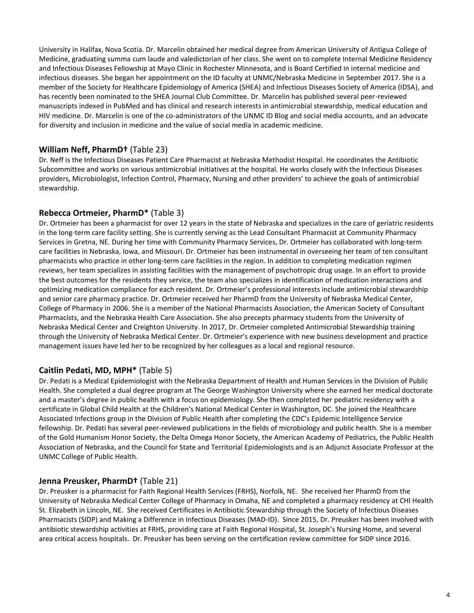University in Halifax, Nova Scotia. Dr. Marcelin obtained her medical degree from American University of Antigua College of Medicine, graduating summa cum laude and valedictorian of her class. She went on to complete Internal Medicine Residency and Infectious Diseases Fellowship at Mayo Clinic in Rochester Minnesota, and is Board Certified in internal medicine and infectious diseases. She began her appointment on the ID faculty at UNMC/Nebraska Medicine in September 2017. She is a member of the Society for Healthcare Epidemiology of America (SHEA) and Infectious Diseases Society of America (IDSA), and has recently been nominated to the SHEA Journal Club Committee. Dr. Marcelin has published several peer-reviewed manuscripts indexed in PubMed and has clinical and research interests in antimicrobial stewardship, medical education and HIV medicine. Dr. Marcelin is one of the co-administrators of the UNMC ID Blog and social media accounts, and an advocate for diversity and inclusion in medicine and the value of social media in academic medicine.

#### **William Neff, PharmD†** (Table 23)

Dr. Neff is the Infectious Diseases Patient Care Pharmacist at Nebraska Methodist Hospital. He coordinates the Antibiotic Subcommittee and works on various antimicrobial initiatives at the hospital. He works closely with the Infectious Diseases providers, Microbiologist, Infection Control, Pharmacy, Nursing and other providers' to achieve the goals of antimicrobial stewardship.

#### **Rebecca Ortmeier, PharmD\*** (Table 3)

Dr. Ortmeier has been a pharmacist for over 12 years in the state of Nebraska and specializes in the care of geriatric residents in the long-term care facility setting. She is currently serving as the Lead Consultant Pharmacist at Community Pharmacy Services in Gretna, NE. During her time with Community Pharmacy Services, Dr. Ortmeier has collaborated with long-term care facilities in Nebraska, Iowa, and Missouri. Dr. Ortmeier has been instrumental in overseeing her team of ten consultant pharmacists who practice in other long-term care facilities in the region. In addition to completing medication regimen reviews, her team specializes in assisting facilities with the management of psychotropic drug usage. In an effort to provide the best outcomes for the residents they service, the team also specializes in identification of medication interactions and optimizing medication compliance for each resident. Dr. Ortmeier's professional interests include antimicrobial stewardship and senior care pharmacy practice. Dr. Ortmeier received her PharmD from the University of Nebraska Medical Center, College of Pharmacy in 2006. She is a member of the National Pharmacists Association, the American Society of Consultant Pharmacists, and the Nebraska Health Care Association. She also precepts pharmacy students from the University of Nebraska Medical Center and Creighton University. In 2017, Dr. Ortmeier completed Antimicrobial Stewardship training through the University of Nebraska Medical Center. Dr. Ortmeier's experience with new business development and practice management issues have led her to be recognized by her colleagues as a local and regional resource.

#### **Caitlin Pedati, MD, MPH\*** (Table 5)

Dr. Pedati is a Medical Epidemiologist with the Nebraska Department of Health and Human Services in the Division of Public Health. She completed a dual degree program at The George Washington University where she earned her medical doctorate and a master's degree in public health with a focus on epidemiology. She then completed her pediatric residency with a certificate in Global Child Health at the Children's National Medical Center in Washington, DC. She joined the Healthcare Associated Infections group in the Division of Public Health after completing the CDC's Epidemic Intelligence Service fellowship. Dr. Pedati has several peer-reviewed publications in the fields of microbiology and public health. She is a member of the Gold Humanism Honor Society, the Delta Omega Honor Society, the American Academy of Pediatrics, the Public Health Association of Nebraska, and the Council for State and Territorial Epidemiologists and is an Adjunct Associate Professor at the UNMC College of Public Health.

#### **Jenna Preusker, PharmD†** (Table 21)

Dr. Preusker is a pharmacist for Faith Regional Health Services (FRHS), Norfolk, NE. She received her PharmD from the University of Nebraska Medical Center College of Pharmacy in Omaha, NE and completed a pharmacy residency at CHI Health St. Elizabeth in Lincoln, NE. She received Certificates in Antibiotic Stewardship through the Society of Infectious Diseases Pharmacists (SIDP) and Making a Difference in Infectious Diseases (MAD-ID). Since 2015, Dr. Preusker has been involved with antibiotic stewardship activities at FRHS, providing care at Faith Regional Hospital, St. Joseph's Nursing Home, and several area critical access hospitals. Dr. Preusker has been serving on the certification review committee for SIDP since 2016.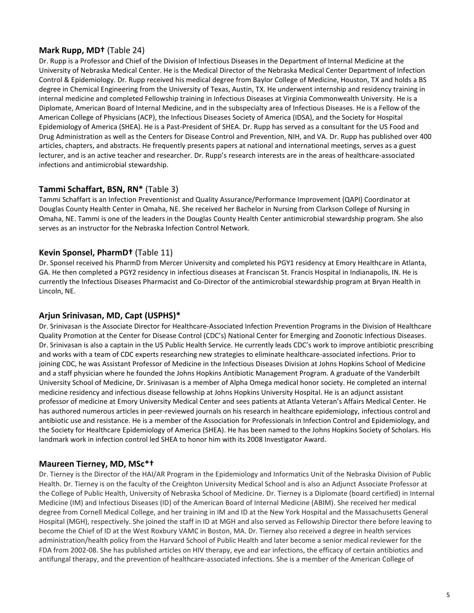#### **Mark Rupp, MD†** (Table 24)

Dr. Rupp is a Professor and Chief of the Division of Infectious Diseases in the Department of Internal Medicine at the University of Nebraska Medical Center. He is the Medical Director of the Nebraska Medical Center Department of Infection Control & Epidemiology. Dr. Rupp received his medical degree from Baylor College of Medicine, Houston, TX and holds a BS degree in Chemical Engineering from the University of Texas, Austin, TX. He underwent internship and residency training in internal medicine and completed Fellowship training in Infectious Diseases at Virginia Commonwealth University. He is a Diplomate, American Board of Internal Medicine, and in the subspecialty area of Infectious Diseases. He is a Fellow of the American College of Physicians (ACP), the Infectious Diseases Society of America (IDSA), and the Society for Hospital Epidemiology of America (SHEA). He is a Past-President of SHEA. Dr. Rupp has served as a consultant for the US Food and Drug Administration as well as the Centers for Disease Control and Prevention, NIH, and VA. Dr. Rupp has published over 400 articles, chapters, and abstracts. He frequently presents papers at national and international meetings, serves as a guest lecturer, and is an active teacher and researcher. Dr. Rupp's research interests are in the areas of healthcare-associated infections and antimicrobial stewardship.

# **Tammi Schaffart, BSN, RN\*** (Table 3)

Tammi Schaffart is an Infection Preventionist and Quality Assurance/Performance Improvement (QAPI) Coordinator at Douglas County Health Center in Omaha, NE. She received her Bachelor in Nursing from Clarkson College of Nursing in Omaha, NE. Tammi is one of the leaders in the Douglas County Health Center antimicrobial stewardship program. She also serves as an instructor for the Nebraska Infection Control Network.

# **Kevin Sponsel, PharmD†** (Table 11)

Dr. Sponsel received his PharmD from Mercer University and completed his PGY1 residency at Emory Healthcare in Atlanta, GA. He then completed a PGY2 residency in infectious diseases at Franciscan St. Francis Hospital in Indianapolis, IN. He is currently the Infectious Diseases Pharmacist and Co-Director of the antimicrobial stewardship program at Bryan Health in Lincoln, NE.

#### **Arjun Srinivasan, MD, Capt (USPHS)\***

Dr. Srinivasan is the Associate Director for Healthcare-Associated Infection Prevention Programs in the Division of Healthcare Quality Promotion at the Center for Disease Control (CDC's) National Center for Emerging and Zoonotic Infectious Diseases. Dr. Srinivasan is also a captain in the US Public Health Service. He currently leads CDC's work to improve antibiotic prescribing and works with a team of CDC experts researching new strategies to eliminate healthcare-associated infections. Prior to joining CDC, he was Assistant Professor of Medicine in the Infectious Diseases Division at Johns Hopkins School of Medicine and a staff physician where he founded the Johns Hopkins Antibiotic Management Program. A graduate of the Vanderbilt University School of Medicine, Dr. Srinivasan is a member of Alpha Omega medical honor society. He completed an internal medicine residency and infectious disease fellowship at Johns Hopkins University Hospital. He is an adjunct assistant professor of medicine at Emory University Medical Center and sees patients at Atlanta Veteran's Affairs Medical Center. He has authored numerous articles in peer-reviewed journals on his research in healthcare epidemiology, infectious control and antibiotic use and resistance. He is a member of the Association for Professionals in Infection Control and Epidemiology, and the Society for Healthcare Epidemiology of America (SHEA). He has been named to the Johns Hopkins Society of Scholars. His landmark work in infection control led SHEA to honor him with its 2008 Investigator Award.

#### **Maureen Tierney, MD, MSc\*†**

Dr. Tierney is the Director of the HAI/AR Program in the Epidemiology and Informatics Unit of the Nebraska Division of Public Health. Dr. Tierney is on the faculty of the Creighton University Medical School and is also an Adjunct Associate Professor at the College of Public Health, University of Nebraska School of Medicine. Dr. Tierney is a Diplomate (board certified) in Internal Medicine (IM) and Infectious Diseases (ID) of the American Board of Internal Medicine (ABIM). She received her medical degree from Cornell Medical College, and her training in IM and ID at the New York Hospital and the Massachusetts General Hospital (MGH), respectively. She joined the staff in ID at MGH and also served as Fellowship Director there before leaving to become the Chief of ID at the West Roxbury VAMC in Boston, MA. Dr. Tierney also received a degree in health services administration/health policy from the Harvard School of Public Health and later become a senior medical reviewer for the FDA from 2002-08. She has published articles on HIV therapy, eye and ear infections, the efficacy of certain antibiotics and antifungal therapy, and the prevention of healthcare-associated infections. She is a member of the American College of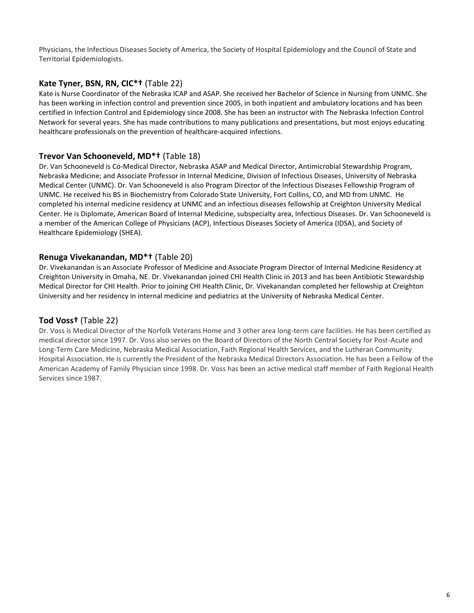Physicians, the Infectious Diseases Society of America, the Society of Hospital Epidemiology and the Council of State and Territorial Epidemiologists.

#### **Kate Tyner, BSN, RN, CIC\*†** (Table 22)

Kate is Nurse Coordinator of the Nebraska ICAP and ASAP. She received her Bachelor of Science in Nursing from UNMC. She has been working in infection control and prevention since 2005, in both inpatient and ambulatory locations and has been certified in Infection Control and Epidemiology since 2008. She has been an instructor with The Nebraska Infection Control Network for several years. She has made contributions to many publications and presentations, but most enjoys educating healthcare professionals on the prevention of healthcare-acquired infections.

# **Trevor Van Schooneveld, MD\*†** (Table 18)

Dr. Van Schooneveld is Co-Medical Director, Nebraska ASAP and Medical Director, Antimicrobial Stewardship Program, Nebraska Medicine; and Associate Professor in Internal Medicine, Division of Infectious Diseases, University of Nebraska Medical Center (UNMC). Dr. Van Schooneveld is also Program Director of the Infectious Diseases Fellowship Program of UNMC. He received his BS in Biochemistry from Colorado State University, Fort Collins, CO, and MD from UNMC. He completed his internal medicine residency at UNMC and an infectious diseases fellowship at Creighton University Medical Center. He is Diplomate, American Board of Internal Medicine, subspecialty area, Infectious Diseases. Dr. Van Schooneveld is a member of the American College of Physicians (ACP), Infectious Diseases Society of America (IDSA), and Society of Healthcare Epidemiology (SHEA).

#### **Renuga Vivekanandan, MD\*†** (Table 20)

Dr. Vivekanandan is an Associate Professor of Medicine and Associate Program Director of Internal Medicine Residency at Creighton University in Omaha, NE. Dr. Vivekanandan joined CHI Health Clinic in 2013 and has been Antibiotic Stewardship Medical Director for CHI Health. Prior to joining CHI Health Clinic, Dr. Vivekanandan completed her fellowship at Creighton University and her residency in internal medicine and pediatrics at the University of Nebraska Medical Center.

#### **Tod Voss†** (Table 22)

Dr. Voss is Medical Director of the Norfolk Veterans Home and 3 other area long-term care facilities. He has been certified as medical director since 1997. Dr. Voss also serves on the Board of Directors of the North Central Society for Post-Acute and Long-Term Care Medicine, Nebraska Medical Association, Faith Regional Health Services, and the Lutheran Community Hospital Association. He is currently the President of the Nebraska Medical Directors Association. He has been a Fellow of the American Academy of Family Physician since 1998. Dr. Voss has been an active medical staff member of Faith Regional Health Services since 1987.